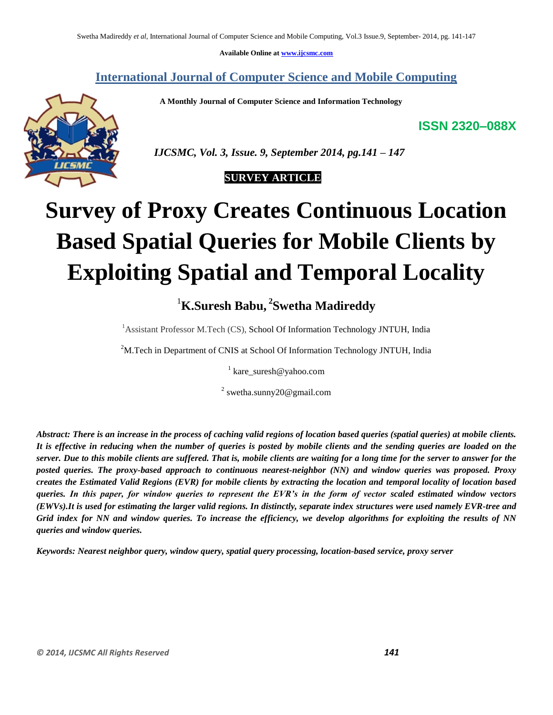**Available Online at www.ijcsmc.com**

## **International Journal of Computer Science and Mobile Computing**

 **A Monthly Journal of Computer Science and Information Technology**

**ISSN 2320–088X**



 *IJCSMC, Vol. 3, Issue. 9, September 2014, pg.141 – 147*

 **SURVEY ARTICLE**

# **Survey of Proxy Creates Continuous Location Based Spatial Queries for Mobile Clients by Exploiting Spatial and Temporal Locality**

# <sup>1</sup>**K.Suresh Babu, 2 Swetha Madireddy**

<sup>1</sup>Assistant Professor M.Tech (CS), School Of Information Technology JNTUH, India

<sup>2</sup>M.Tech in Department of CNIS at School Of Information Technology JNTUH, India

<sup>1</sup> kare\_suresh@yahoo.com

<sup>2</sup> swetha.sunny20@gmail.com

*Abstract: There is an increase in the process of caching valid regions of location based queries (spatial queries) at mobile clients. It is effective in reducing when the number of queries is posted by mobile clients and the sending queries are loaded on the server. Due to this mobile clients are suffered. That is, mobile clients are waiting for a long time for the server to answer for the posted queries. The proxy-based approach to continuous nearest-neighbor (NN) and window queries was proposed. Proxy creates the Estimated Valid Regions (EVR) for mobile clients by extracting the location and temporal locality of location based queries. In this paper, for window queries to represent the EVR's in the form of vector scaled estimated window vectors (EWVs).It is used for estimating the larger valid regions. In distinctly, separate index structures were used namely EVR-tree and Grid index for NN and window queries. To increase the efficiency, we develop algorithms for exploiting the results of NN queries and window queries.*

*Keywords: Nearest neighbor query, window query, spatial query processing, location-based service, proxy server*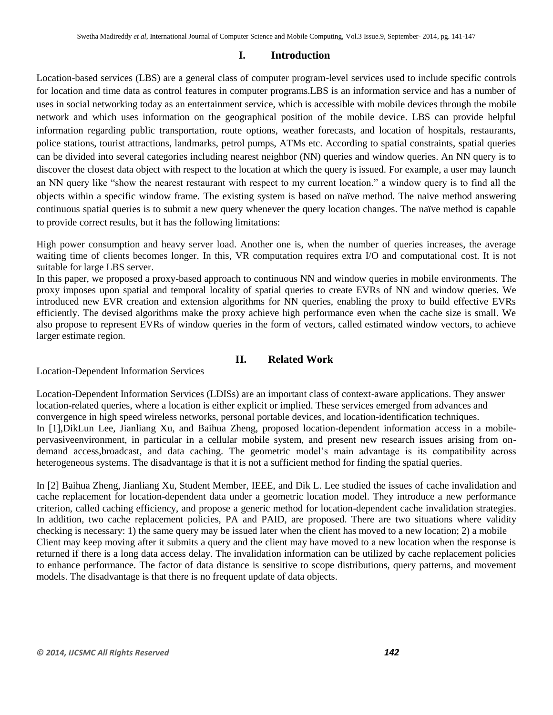#### **I. Introduction**

Location-based services (LBS) are a general class of computer program-level services used to include specific controls for location and time data as control features in computer programs.LBS is an information service and has a number of uses in social networking today as an entertainment service, which is accessible with mobile devices through the mobile network and which uses information on the geographical position of the mobile device. LBS can provide helpful information regarding public transportation, route options, weather forecasts, and location of hospitals, restaurants, police stations, tourist attractions, landmarks, petrol pumps, ATMs etc. According to spatial constraints, spatial queries can be divided into several categories including nearest neighbor (NN) queries and window queries. An NN query is to discover the closest data object with respect to the location at which the query is issued. For example, a user may launch an NN query like "show the nearest restaurant with respect to my current location." a window query is to find all the objects within a specific window frame. The existing system is based on naïve method. The naive method answering continuous spatial queries is to submit a new query whenever the query location changes. The naïve method is capable to provide correct results, but it has the following limitations:

High power consumption and heavy server load. Another one is, when the number of queries increases, the average waiting time of clients becomes longer. In this, VR computation requires extra I/O and computational cost. It is not suitable for large LBS server.

In this paper, we proposed a proxy-based approach to continuous NN and window queries in mobile environments. The proxy imposes upon spatial and temporal locality of spatial queries to create EVRs of NN and window queries. We introduced new EVR creation and extension algorithms for NN queries, enabling the proxy to build effective EVRs efficiently. The devised algorithms make the proxy achieve high performance even when the cache size is small. We also propose to represent EVRs of window queries in the form of vectors, called estimated window vectors, to achieve larger estimate region.

#### **II. Related Work**

Location-Dependent Information Services

Location-Dependent Information Services (LDISs) are an important class of context-aware applications. They answer location-related queries, where a location is either explicit or implied. These services emerged from advances and convergence in high speed wireless networks, personal portable devices, and location-identification techniques. In [1],DikLun Lee, Jianliang Xu, and Baihua Zheng, proposed location-dependent information access in a mobilepervasiveenvironment, in particular in a cellular mobile system, and present new research issues arising from ondemand access,broadcast, and data caching. The geometric model's main advantage is its compatibility across heterogeneous systems. The disadvantage is that it is not a sufficient method for finding the spatial queries.

In [2] Baihua Zheng, Jianliang Xu, Student Member, IEEE, and Dik L. Lee studied the issues of cache invalidation and cache replacement for location-dependent data under a geometric location model. They introduce a new performance criterion, called caching efficiency, and propose a generic method for location-dependent cache invalidation strategies. In addition, two cache replacement policies, PA and PAID, are proposed. There are two situations where validity checking is necessary: 1) the same query may be issued later when the client has moved to a new location; 2) a mobile Client may keep moving after it submits a query and the client may have moved to a new location when the response is returned if there is a long data access delay. The invalidation information can be utilized by cache replacement policies to enhance performance. The factor of data distance is sensitive to scope distributions, query patterns, and movement models. The disadvantage is that there is no frequent update of data objects.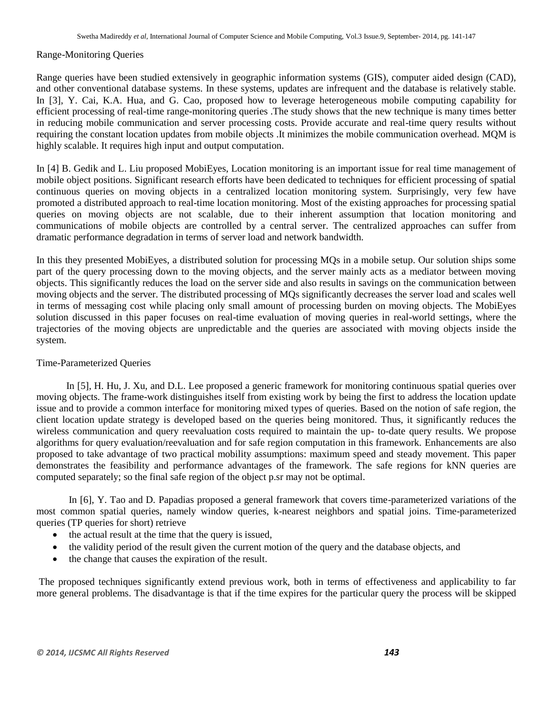#### Range-Monitoring Queries

Range queries have been studied extensively in geographic information systems (GIS), computer aided design (CAD), and other conventional database systems. In these systems, updates are infrequent and the database is relatively stable. In [3], Y. Cai, K.A. Hua, and G. Cao, proposed how to leverage heterogeneous mobile computing capability for efficient processing of real-time range-monitoring queries .The study shows that the new technique is many times better in reducing mobile communication and server processing costs. Provide accurate and real-time query results without requiring the constant location updates from mobile objects .It minimizes the mobile communication overhead. MQM is highly scalable. It requires high input and output computation.

In [4] B. Gedik and L. Liu proposed MobiEyes, Location monitoring is an important issue for real time management of mobile object positions. Significant research efforts have been dedicated to techniques for efficient processing of spatial continuous queries on moving objects in a centralized location monitoring system. Surprisingly, very few have promoted a distributed approach to real-time location monitoring. Most of the existing approaches for processing spatial queries on moving objects are not scalable, due to their inherent assumption that location monitoring and communications of mobile objects are controlled by a central server. The centralized approaches can suffer from dramatic performance degradation in terms of server load and network bandwidth.

In this they presented MobiEyes, a distributed solution for processing MQs in a mobile setup. Our solution ships some part of the query processing down to the moving objects, and the server mainly acts as a mediator between moving objects. This significantly reduces the load on the server side and also results in savings on the communication between moving objects and the server. The distributed processing of MQs significantly decreases the server load and scales well in terms of messaging cost while placing only small amount of processing burden on moving objects. The MobiEyes solution discussed in this paper focuses on real-time evaluation of moving queries in real-world settings, where the trajectories of the moving objects are unpredictable and the queries are associated with moving objects inside the system.

#### Time-Parameterized Queries

 In [5], H. Hu, J. Xu, and D.L. Lee proposed a generic framework for monitoring continuous spatial queries over moving objects. The frame-work distinguishes itself from existing work by being the first to address the location update issue and to provide a common interface for monitoring mixed types of queries. Based on the notion of safe region, the client location update strategy is developed based on the queries being monitored. Thus, it significantly reduces the wireless communication and query reevaluation costs required to maintain the up- to-date query results. We propose algorithms for query evaluation/reevaluation and for safe region computation in this framework. Enhancements are also proposed to take advantage of two practical mobility assumptions: maximum speed and steady movement. This paper demonstrates the feasibility and performance advantages of the framework. The safe regions for kNN queries are computed separately; so the final safe region of the object p.sr may not be optimal.

 In [6], Y. Tao and D. Papadias proposed a general framework that covers time-parameterized variations of the most common spatial queries, namely window queries, k-nearest neighbors and spatial joins. Time-parameterized queries (TP queries for short) retrieve

- the actual result at the time that the query is issued,
- the validity period of the result given the current motion of the query and the database objects, and
- the change that causes the expiration of the result.

The proposed techniques significantly extend previous work, both in terms of effectiveness and applicability to far more general problems. The disadvantage is that if the time expires for the particular query the process will be skipped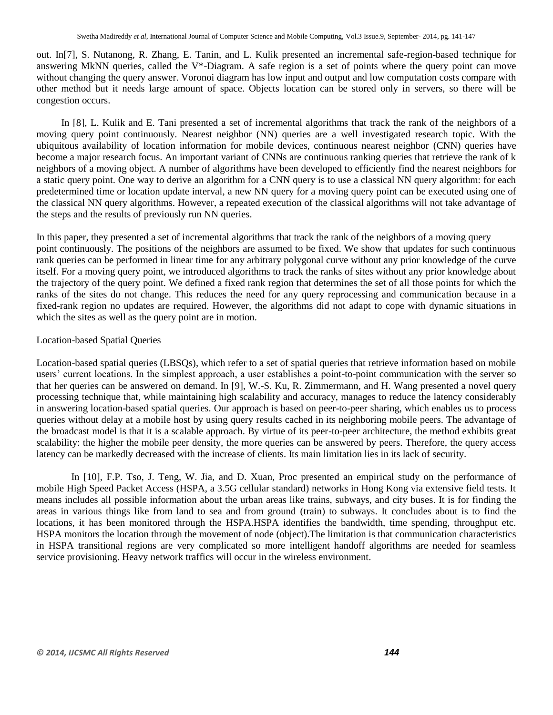out. In[7], S. Nutanong, R. Zhang, E. Tanin, and L. Kulik presented an incremental safe-region-based technique for answering MkNN queries, called the V\*-Diagram. A safe region is a set of points where the query point can move without changing the query answer. Voronoi diagram has low input and output and low computation costs compare with other method but it needs large amount of space. Objects location can be stored only in servers, so there will be congestion occurs.

In [8], L. Kulik and E. Tani presented a set of incremental algorithms that track the rank of the neighbors of a moving query point continuously. Nearest neighbor (NN) queries are a well investigated research topic. With the ubiquitous availability of location information for mobile devices, continuous nearest neighbor (CNN) queries have become a major research focus. An important variant of CNNs are continuous ranking queries that retrieve the rank of k neighbors of a moving object. A number of algorithms have been developed to efficiently find the nearest neighbors for a static query point. One way to derive an algorithm for a CNN query is to use a classical NN query algorithm: for each predetermined time or location update interval, a new NN query for a moving query point can be executed using one of the classical NN query algorithms. However, a repeated execution of the classical algorithms will not take advantage of the steps and the results of previously run NN queries.

In this paper, they presented a set of incremental algorithms that track the rank of the neighbors of a moving query point continuously. The positions of the neighbors are assumed to be fixed. We show that updates for such continuous rank queries can be performed in linear time for any arbitrary polygonal curve without any prior knowledge of the curve itself. For a moving query point, we introduced algorithms to track the ranks of sites without any prior knowledge about the trajectory of the query point. We defined a fixed rank region that determines the set of all those points for which the ranks of the sites do not change. This reduces the need for any query reprocessing and communication because in a fixed-rank region no updates are required. However, the algorithms did not adapt to cope with dynamic situations in which the sites as well as the query point are in motion.

#### Location-based Spatial Queries

Location-based spatial queries (LBSQs), which refer to a set of spatial queries that retrieve information based on mobile users' current locations. In the simplest approach, a user establishes a point-to-point communication with the server so that her queries can be answered on demand. In [9], W.-S. Ku, R. Zimmermann, and H. Wang presented a novel query processing technique that, while maintaining high scalability and accuracy, manages to reduce the latency considerably in answering location-based spatial queries. Our approach is based on peer-to-peer sharing, which enables us to process queries without delay at a mobile host by using query results cached in its neighboring mobile peers. The advantage of the broadcast model is that it is a scalable approach. By virtue of its peer-to-peer architecture, the method exhibits great scalability: the higher the mobile peer density, the more queries can be answered by peers. Therefore, the query access latency can be markedly decreased with the increase of clients. Its main limitation lies in its lack of security.

In [10], F.P. Tso, J. Teng, W. Jia, and D. Xuan, Proc presented an empirical study on the performance of mobile High Speed Packet Access (HSPA, a 3.5G cellular standard) networks in Hong Kong via extensive field tests. It means includes all possible information about the urban areas like trains, subways, and city buses. It is for finding the areas in various things like from land to sea and from ground (train) to subways. It concludes about is to find the locations, it has been monitored through the HSPA.HSPA identifies the bandwidth, time spending, throughput etc. HSPA monitors the location through the movement of node (object).The limitation is that communication characteristics in HSPA transitional regions are very complicated so more intelligent handoff algorithms are needed for seamless service provisioning. Heavy network traffics will occur in the wireless environment.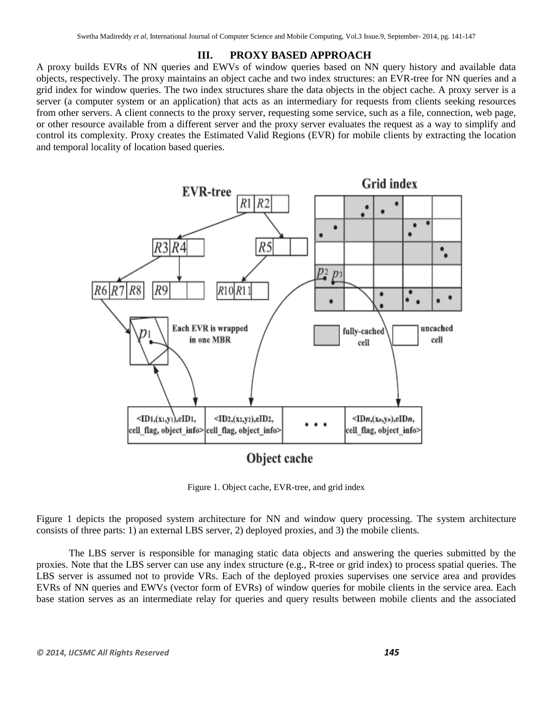#### **III. PROXY BASED APPROACH**

A proxy builds EVRs of NN queries and EWVs of window queries based on NN query history and available data objects, respectively. The proxy maintains an object cache and two index structures: an EVR-tree for NN queries and a grid index for window queries. The two index structures share the data objects in the object cache. A proxy server is a server (a computer system or an application) that acts as an intermediary for requests from clients seeking resources from other servers. A client connects to the proxy server, requesting some service, such as a file, connection, web page, or other resource available from a different server and the proxy server evaluates the request as a way to simplify and control its complexity. Proxy creates the Estimated Valid Regions (EVR) for mobile clients by extracting the location and temporal locality of location based queries.



Figure 1. Object cache, EVR-tree, and grid index

Figure 1 depicts the proposed system architecture for NN and window query processing. The system architecture consists of three parts: 1) an external LBS server, 2) deployed proxies, and 3) the mobile clients.

The LBS server is responsible for managing static data objects and answering the queries submitted by the proxies. Note that the LBS server can use any index structure (e.g., R-tree or grid index) to process spatial queries. The LBS server is assumed not to provide VRs. Each of the deployed proxies supervises one service area and provides EVRs of NN queries and EWVs (vector form of EVRs) of window queries for mobile clients in the service area. Each base station serves as an intermediate relay for queries and query results between mobile clients and the associated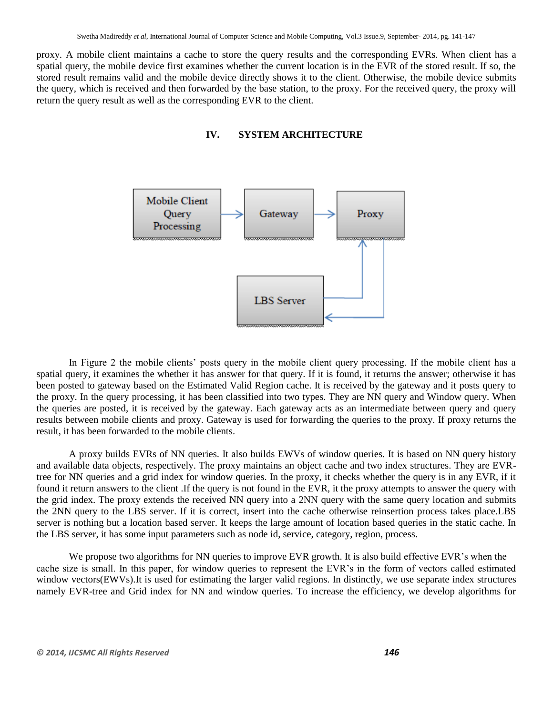proxy. A mobile client maintains a cache to store the query results and the corresponding EVRs. When client has a spatial query, the mobile device first examines whether the current location is in the EVR of the stored result. If so, the stored result remains valid and the mobile device directly shows it to the client. Otherwise, the mobile device submits the query, which is received and then forwarded by the base station, to the proxy. For the received query, the proxy will return the query result as well as the corresponding EVR to the client.





In Figure 2 the mobile clients' posts query in the mobile client query processing. If the mobile client has a spatial query, it examines the whether it has answer for that query. If it is found, it returns the answer; otherwise it has been posted to gateway based on the Estimated Valid Region cache. It is received by the gateway and it posts query to the proxy. In the query processing, it has been classified into two types. They are NN query and Window query. When the queries are posted, it is received by the gateway. Each gateway acts as an intermediate between query and query results between mobile clients and proxy. Gateway is used for forwarding the queries to the proxy. If proxy returns the result, it has been forwarded to the mobile clients.

A proxy builds EVRs of NN queries. It also builds EWVs of window queries. It is based on NN query history and available data objects, respectively. The proxy maintains an object cache and two index structures. They are EVRtree for NN queries and a grid index for window queries. In the proxy, it checks whether the query is in any EVR, if it found it return answers to the client .If the query is not found in the EVR, it the proxy attempts to answer the query with the grid index. The proxy extends the received NN query into a 2NN query with the same query location and submits the 2NN query to the LBS server. If it is correct, insert into the cache otherwise reinsertion process takes place.LBS server is nothing but a location based server. It keeps the large amount of location based queries in the static cache. In the LBS server, it has some input parameters such as node id, service, category, region, process.

We propose two algorithms for NN queries to improve EVR growth. It is also build effective EVR's when the cache size is small. In this paper, for window queries to represent the EVR's in the form of vectors called estimated window vectors(EWVs).It is used for estimating the larger valid regions. In distinctly, we use separate index structures namely EVR-tree and Grid index for NN and window queries. To increase the efficiency, we develop algorithms for